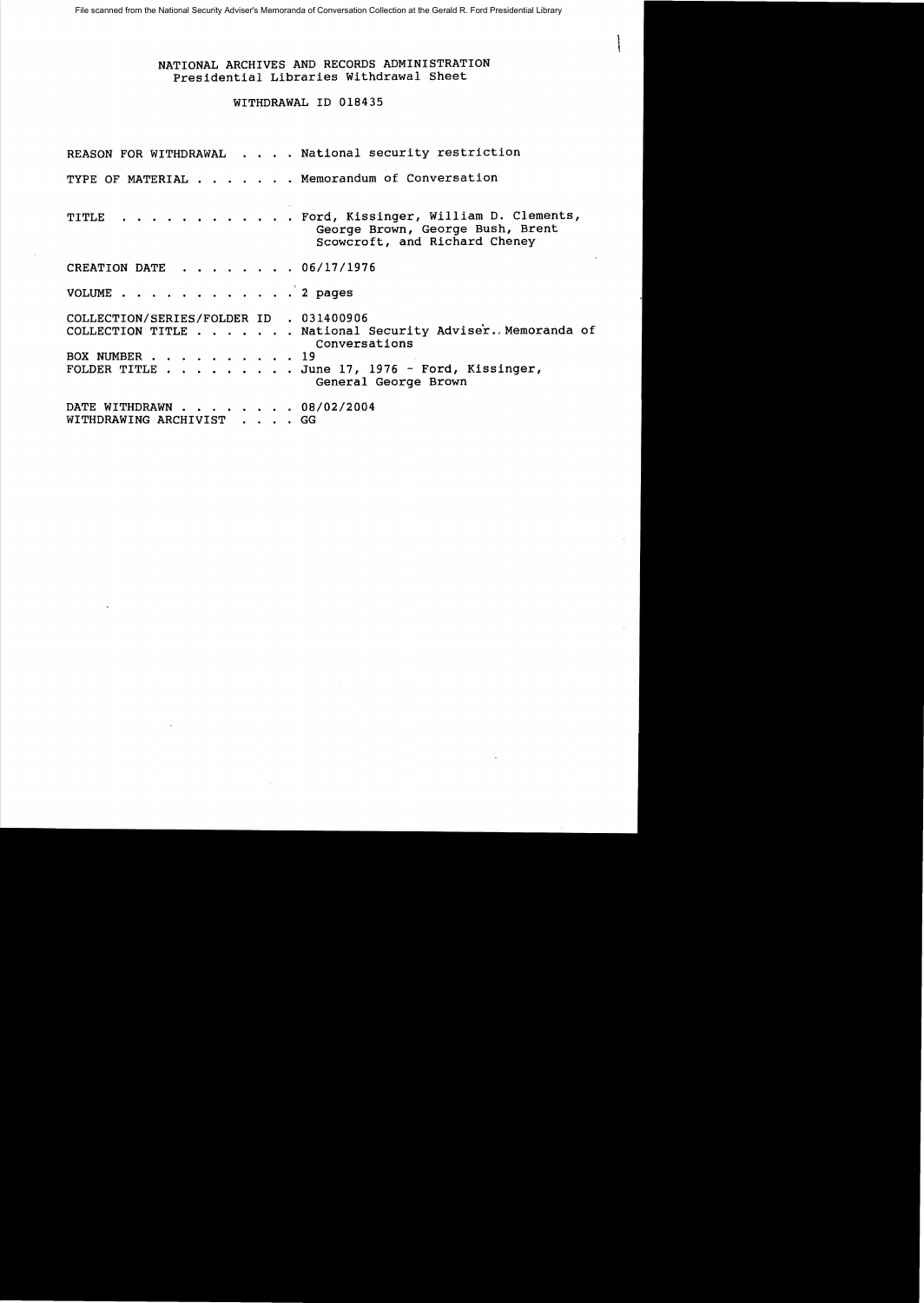## NATIONAL ARCHIVES AND RECORDS ADMINISTRATION Presidential Libraries Withdrawal Sheet

## WITHDRAWAL ID 018435

|                                                          | REASON FOR WITHDRAWAL National security restriction                                                                                                |
|----------------------------------------------------------|----------------------------------------------------------------------------------------------------------------------------------------------------|
|                                                          | TYPE OF MATERIAL Memorandum of Conversation                                                                                                        |
|                                                          | TITLE Ford, Kissinger, William D. Clements,<br>George Brown, George Bush, Brent<br>Scowcroft, and Richard Cheney                                   |
| CREATION DATE 06/17/1976                                 |                                                                                                                                                    |
| VOLUME 2 pages                                           |                                                                                                                                                    |
| COLLECTION/SERIES/FOLDER ID . 031400906<br>BOX NUMBER 19 | COLLECTION TITLE National Security Adviser. Memoranda of<br>Conversations<br>FOLDER TITLE June 17, 1976 - Ford, Kissinger,<br>General George Brown |
| DATE WITHDRAWN 08/02/2004<br>WITHDRAWING ARCHIVIST GG    |                                                                                                                                                    |